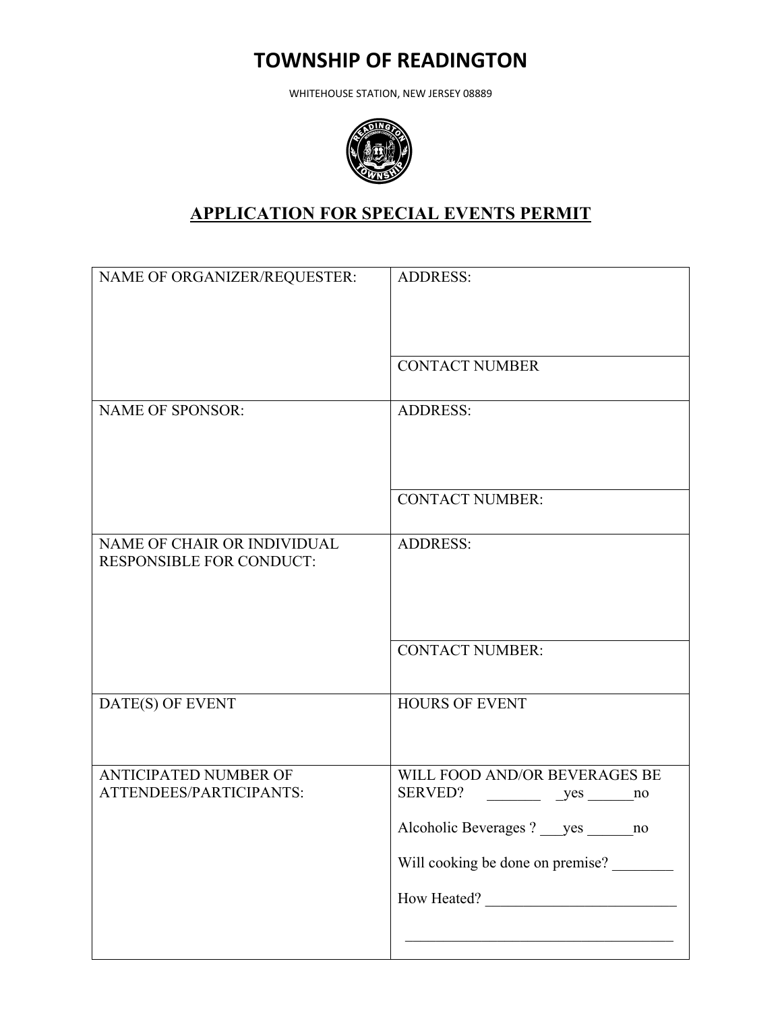## **TOWNSHIP OF READINGTON**

WHITEHOUSE STATION, NEW JERSEY 08889



## **APPLICATION FOR SPECIAL EVENTS PERMIT**

| NAME OF ORGANIZER/REQUESTER:                                   | <b>ADDRESS:</b>                                                                                                                                       |
|----------------------------------------------------------------|-------------------------------------------------------------------------------------------------------------------------------------------------------|
|                                                                | <b>CONTACT NUMBER</b>                                                                                                                                 |
|                                                                |                                                                                                                                                       |
| <b>NAME OF SPONSOR:</b>                                        | <b>ADDRESS:</b>                                                                                                                                       |
|                                                                | <b>CONTACT NUMBER:</b>                                                                                                                                |
| NAME OF CHAIR OR INDIVIDUAL<br><b>RESPONSIBLE FOR CONDUCT:</b> | <b>ADDRESS:</b>                                                                                                                                       |
|                                                                | <b>CONTACT NUMBER:</b>                                                                                                                                |
| DATE(S) OF EVENT                                               | <b>HOURS OF EVENT</b>                                                                                                                                 |
| <b>ANTICIPATED NUMBER OF</b><br>ATTENDEES/PARTICIPANTS:        | WILL FOOD AND/OR BEVERAGES BE<br>SERVED? __________ _yes _______ no<br>Alcoholic Beverages? yes no<br>Will cooking be done on premise?<br>How Heated? |
|                                                                |                                                                                                                                                       |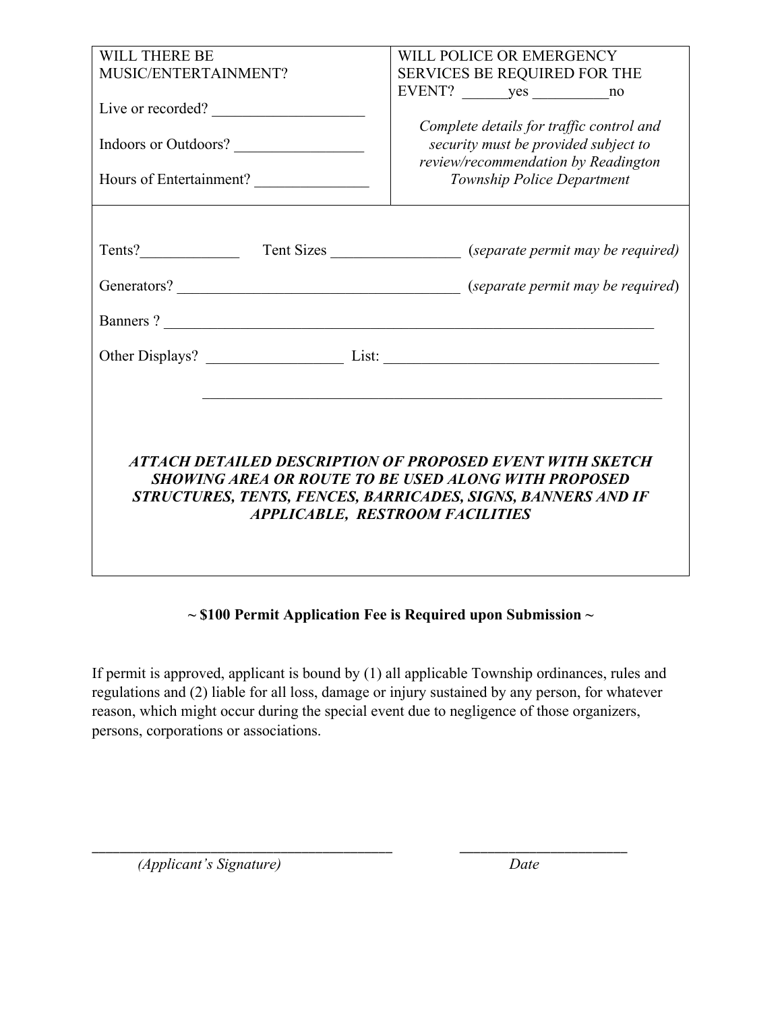| WILL THERE BE                             | WILL POLICE OR EMERGENCY                                                                                                                                                                                                    |  |
|-------------------------------------------|-----------------------------------------------------------------------------------------------------------------------------------------------------------------------------------------------------------------------------|--|
| MUSIC/ENTERTAINMENT?                      | SERVICES BE REQUIRED FOR THE                                                                                                                                                                                                |  |
| Live or recorded?<br>Indoors or Outdoors? | Complete details for traffic control and<br>security must be provided subject to<br>review/recommendation by Readington                                                                                                     |  |
| Hours of Entertainment?                   | Township Police Department                                                                                                                                                                                                  |  |
|                                           |                                                                                                                                                                                                                             |  |
| Banners?                                  |                                                                                                                                                                                                                             |  |
| Other Displays? List: List:               |                                                                                                                                                                                                                             |  |
|                                           | ATTACH DETAILED DESCRIPTION OF PROPOSED EVENT WITH SKETCH<br>SHOWING AREA OR ROUTE TO BE USED ALONG WITH PROPOSED<br>STRUCTURES, TENTS, FENCES, BARRICADES, SIGNS, BANNERS AND IF<br><b>APPLICABLE, RESTROOM FACILITIES</b> |  |

## **~ \$100 Permit Application Fee is Required upon Submission ~**

If permit is approved, applicant is bound by (1) all applicable Township ordinances, rules and regulations and (2) liable for all loss, damage or injury sustained by any person, for whatever reason, which might occur during the special event due to negligence of those organizers, persons, corporations or associations.

\_\_\_\_\_\_\_\_\_\_\_\_\_\_\_\_\_\_\_\_\_\_\_\_\_\_\_\_\_\_\_\_\_\_\_\_\_\_\_\_\_\_\_ \_\_\_\_\_\_\_\_\_\_\_\_\_\_\_\_\_\_\_\_\_\_\_\_